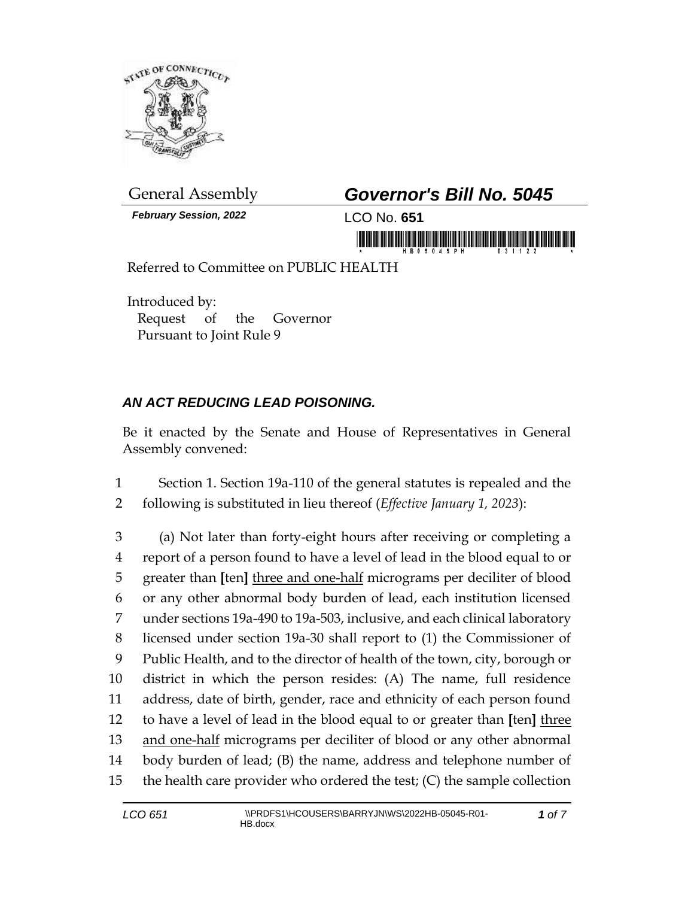

*February Session, 2022* LCO No. **651**

## General Assembly *Governor's Bill No. 5045*

in morning the state in the morning of the i

Referred to Committee on PUBLIC HEALTH

Introduced by: Request of the Governor Pursuant to Joint Rule 9

## *AN ACT REDUCING LEAD POISONING.*

Be it enacted by the Senate and House of Representatives in General Assembly convened:

1 Section 1. Section 19a-110 of the general statutes is repealed and the 2 following is substituted in lieu thereof (*Effective January 1, 2023*):

 (a) Not later than forty-eight hours after receiving or completing a report of a person found to have a level of lead in the blood equal to or greater than **[**ten**]** three and one-half micrograms per deciliter of blood or any other abnormal body burden of lead, each institution licensed under sections 19a-490 to 19a-503, inclusive, and each clinical laboratory licensed under section 19a-30 shall report to (1) the Commissioner of Public Health, and to the director of health of the town, city, borough or district in which the person resides: (A) The name, full residence address, date of birth, gender, race and ethnicity of each person found to have a level of lead in the blood equal to or greater than **[**ten**]** three 13 and one-half micrograms per deciliter of blood or any other abnormal body burden of lead; (B) the name, address and telephone number of the health care provider who ordered the test; (C) the sample collection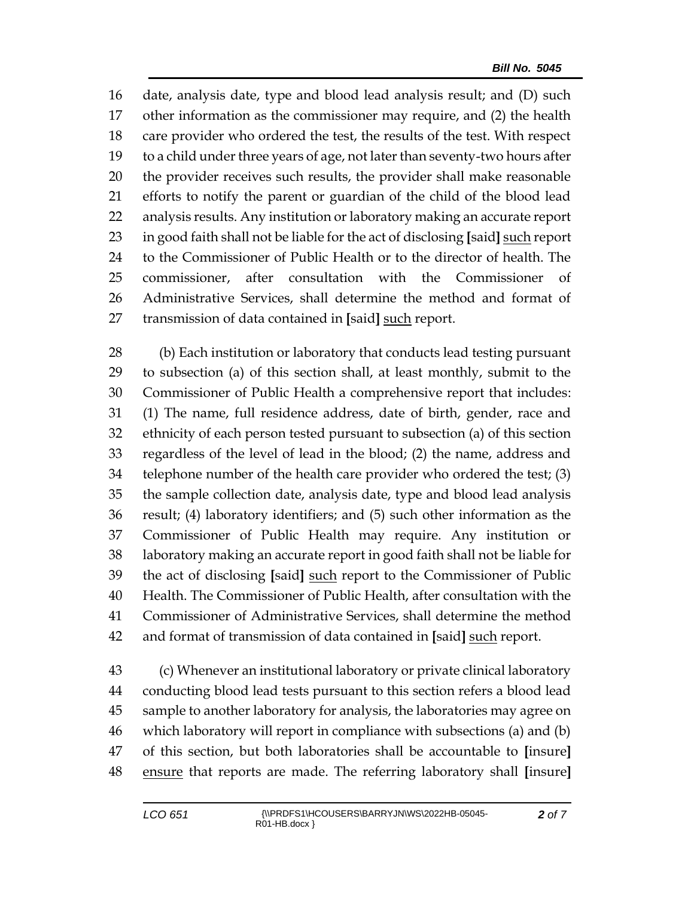date, analysis date, type and blood lead analysis result; and (D) such other information as the commissioner may require, and (2) the health care provider who ordered the test, the results of the test. With respect to a child under three years of age, not later than seventy-two hours after the provider receives such results, the provider shall make reasonable efforts to notify the parent or guardian of the child of the blood lead analysis results. Any institution or laboratory making an accurate report in good faith shall not be liable for the act of disclosing **[**said**]** such report to the Commissioner of Public Health or to the director of health. The 25 commissioner, after consultation with the Commissioner Administrative Services, shall determine the method and format of transmission of data contained in **[**said**]** such report.

 (b) Each institution or laboratory that conducts lead testing pursuant to subsection (a) of this section shall, at least monthly, submit to the Commissioner of Public Health a comprehensive report that includes: (1) The name, full residence address, date of birth, gender, race and ethnicity of each person tested pursuant to subsection (a) of this section regardless of the level of lead in the blood; (2) the name, address and telephone number of the health care provider who ordered the test; (3) the sample collection date, analysis date, type and blood lead analysis result; (4) laboratory identifiers; and (5) such other information as the Commissioner of Public Health may require. Any institution or laboratory making an accurate report in good faith shall not be liable for the act of disclosing **[**said**]** such report to the Commissioner of Public Health. The Commissioner of Public Health, after consultation with the Commissioner of Administrative Services, shall determine the method and format of transmission of data contained in **[**said**]** such report.

 (c) Whenever an institutional laboratory or private clinical laboratory conducting blood lead tests pursuant to this section refers a blood lead sample to another laboratory for analysis, the laboratories may agree on which laboratory will report in compliance with subsections (a) and (b) of this section, but both laboratories shall be accountable to **[**insure**]** ensure that reports are made. The referring laboratory shall **[**insure**]**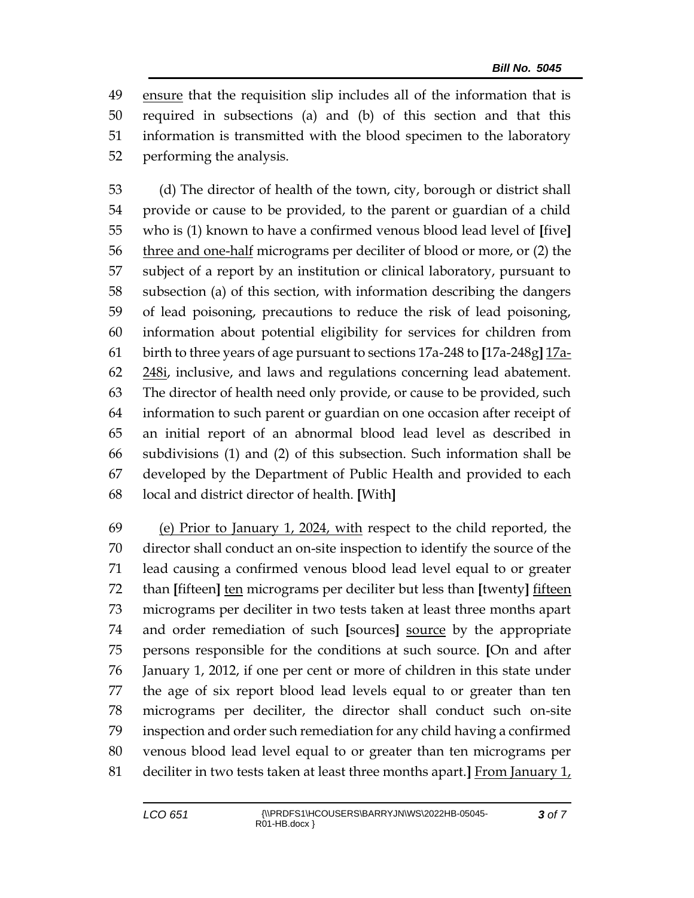ensure that the requisition slip includes all of the information that is required in subsections (a) and (b) of this section and that this information is transmitted with the blood specimen to the laboratory performing the analysis.

 (d) The director of health of the town, city, borough or district shall provide or cause to be provided, to the parent or guardian of a child who is (1) known to have a confirmed venous blood lead level of **[**five**]** 56 three and one-half micrograms per deciliter of blood or more, or (2) the subject of a report by an institution or clinical laboratory, pursuant to subsection (a) of this section, with information describing the dangers of lead poisoning, precautions to reduce the risk of lead poisoning, information about potential eligibility for services for children from birth to three years of age pursuant to sections 17a-248 to **[**17a-248g**]** 17a-62 248i, inclusive, and laws and regulations concerning lead abatement. The director of health need only provide, or cause to be provided, such information to such parent or guardian on one occasion after receipt of an initial report of an abnormal blood lead level as described in subdivisions (1) and (2) of this subsection. Such information shall be developed by the Department of Public Health and provided to each local and district director of health. **[**With**]**

 (e) Prior to January 1, 2024, with respect to the child reported, the director shall conduct an on-site inspection to identify the source of the lead causing a confirmed venous blood lead level equal to or greater than **[**fifteen**]** ten micrograms per deciliter but less than **[**twenty**]** fifteen micrograms per deciliter in two tests taken at least three months apart and order remediation of such **[**sources**]** source by the appropriate persons responsible for the conditions at such source. **[**On and after January 1, 2012, if one per cent or more of children in this state under the age of six report blood lead levels equal to or greater than ten micrograms per deciliter, the director shall conduct such on-site inspection and order such remediation for any child having a confirmed venous blood lead level equal to or greater than ten micrograms per deciliter in two tests taken at least three months apart.**]** From January 1,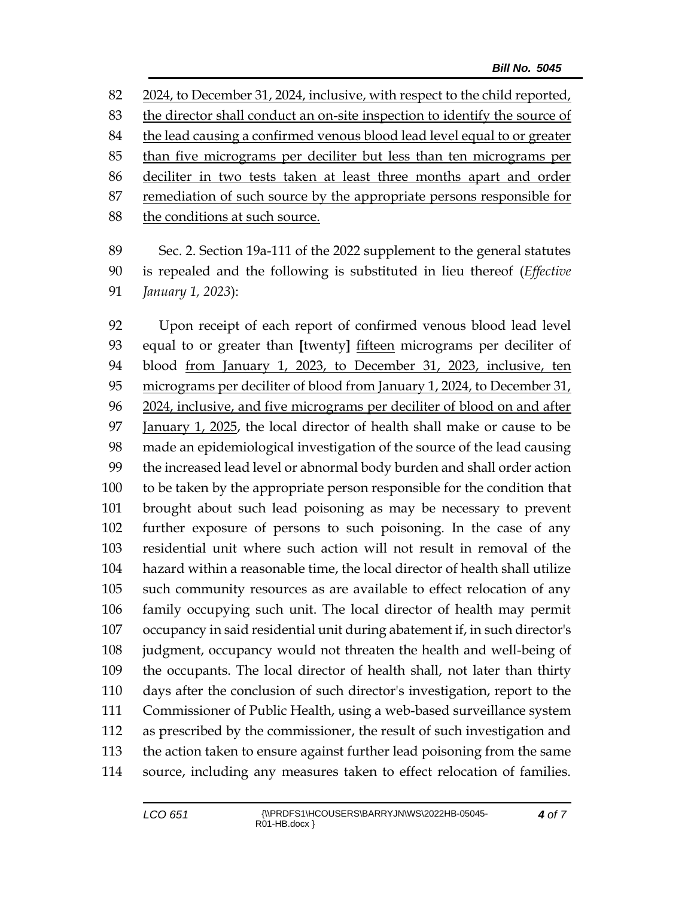2024, to December 31, 2024, inclusive, with respect to the child reported, the director shall conduct an on-site inspection to identify the source of the lead causing a confirmed venous blood lead level equal to or greater than five micrograms per deciliter but less than ten micrograms per deciliter in two tests taken at least three months apart and order 87 remediation of such source by the appropriate persons responsible for 88 the conditions at such source.

 Sec. 2. Section 19a-111 of the 2022 supplement to the general statutes is repealed and the following is substituted in lieu thereof (*Effective January 1, 2023*):

 Upon receipt of each report of confirmed venous blood lead level equal to or greater than **[**twenty**]** fifteen micrograms per deciliter of blood from January 1, 2023, to December 31, 2023, inclusive, ten 95 micrograms per deciliter of blood from January 1, 2024, to December 31, 2024, inclusive, and five micrograms per deciliter of blood on and after January 1, 2025, the local director of health shall make or cause to be made an epidemiological investigation of the source of the lead causing the increased lead level or abnormal body burden and shall order action to be taken by the appropriate person responsible for the condition that brought about such lead poisoning as may be necessary to prevent further exposure of persons to such poisoning. In the case of any residential unit where such action will not result in removal of the hazard within a reasonable time, the local director of health shall utilize such community resources as are available to effect relocation of any family occupying such unit. The local director of health may permit occupancy in said residential unit during abatement if, in such director's judgment, occupancy would not threaten the health and well-being of the occupants. The local director of health shall, not later than thirty days after the conclusion of such director's investigation, report to the Commissioner of Public Health, using a web-based surveillance system as prescribed by the commissioner, the result of such investigation and the action taken to ensure against further lead poisoning from the same source, including any measures taken to effect relocation of families.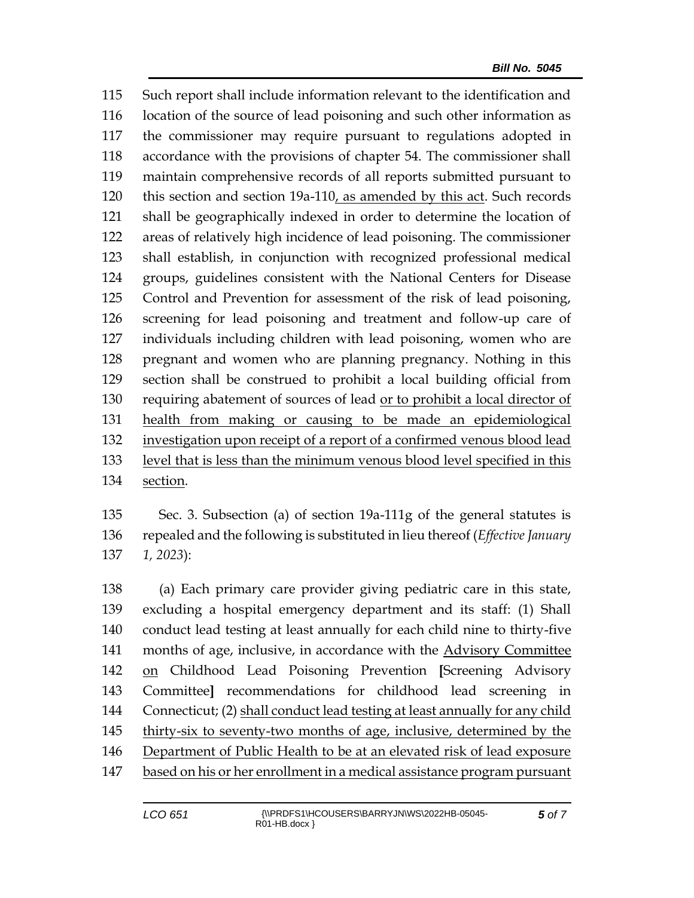Such report shall include information relevant to the identification and location of the source of lead poisoning and such other information as the commissioner may require pursuant to regulations adopted in accordance with the provisions of chapter 54. The commissioner shall maintain comprehensive records of all reports submitted pursuant to this section and section 19a-110, as amended by this act. Such records shall be geographically indexed in order to determine the location of areas of relatively high incidence of lead poisoning. The commissioner shall establish, in conjunction with recognized professional medical groups, guidelines consistent with the National Centers for Disease Control and Prevention for assessment of the risk of lead poisoning, screening for lead poisoning and treatment and follow-up care of individuals including children with lead poisoning, women who are pregnant and women who are planning pregnancy. Nothing in this section shall be construed to prohibit a local building official from requiring abatement of sources of lead or to prohibit a local director of health from making or causing to be made an epidemiological investigation upon receipt of a report of a confirmed venous blood lead level that is less than the minimum venous blood level specified in this section.

 Sec. 3. Subsection (a) of section 19a-111g of the general statutes is repealed and the following is substituted in lieu thereof (*Effective January 1, 2023*):

 (a) Each primary care provider giving pediatric care in this state, excluding a hospital emergency department and its staff: (1) Shall conduct lead testing at least annually for each child nine to thirty-five months of age, inclusive, in accordance with the Advisory Committee on Childhood Lead Poisoning Prevention **[**Screening Advisory Committee**]** recommendations for childhood lead screening in Connecticut; (2) shall conduct lead testing at least annually for any child thirty-six to seventy-two months of age, inclusive, determined by the Department of Public Health to be at an elevated risk of lead exposure based on his or her enrollment in a medical assistance program pursuant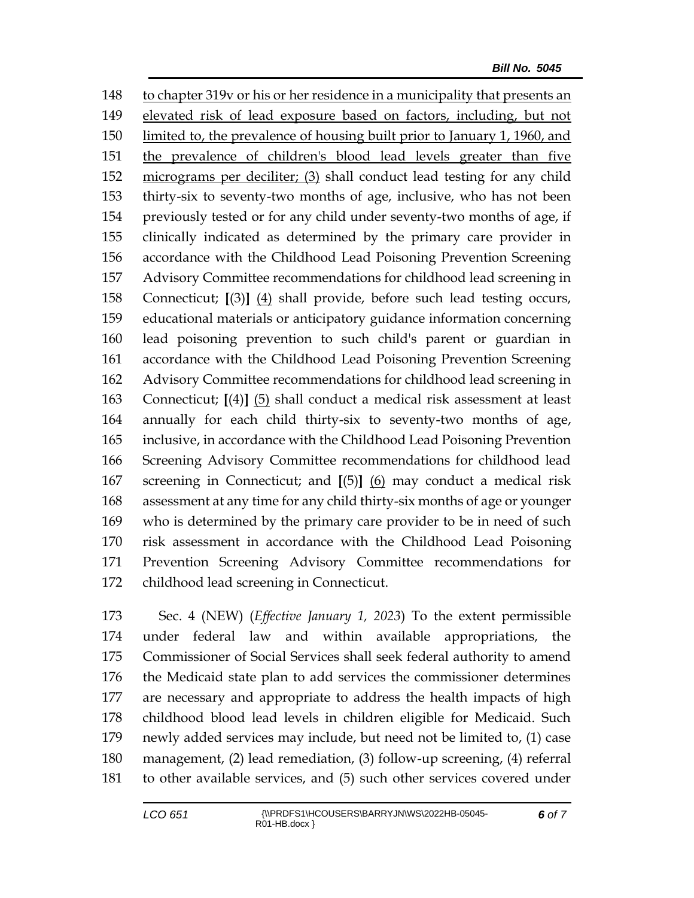to chapter 319v or his or her residence in a municipality that presents an elevated risk of lead exposure based on factors, including, but not limited to, the prevalence of housing built prior to January 1, 1960, and the prevalence of children's blood lead levels greater than five micrograms per deciliter; (3) shall conduct lead testing for any child thirty-six to seventy-two months of age, inclusive, who has not been previously tested or for any child under seventy-two months of age, if clinically indicated as determined by the primary care provider in accordance with the Childhood Lead Poisoning Prevention Screening Advisory Committee recommendations for childhood lead screening in Connecticut; **[**(3)**]** (4) shall provide, before such lead testing occurs, educational materials or anticipatory guidance information concerning lead poisoning prevention to such child's parent or guardian in accordance with the Childhood Lead Poisoning Prevention Screening Advisory Committee recommendations for childhood lead screening in Connecticut; **[**(4)**]** (5) shall conduct a medical risk assessment at least annually for each child thirty-six to seventy-two months of age, inclusive, in accordance with the Childhood Lead Poisoning Prevention Screening Advisory Committee recommendations for childhood lead screening in Connecticut; and **[**(5)**]** (6) may conduct a medical risk assessment at any time for any child thirty-six months of age or younger who is determined by the primary care provider to be in need of such risk assessment in accordance with the Childhood Lead Poisoning Prevention Screening Advisory Committee recommendations for childhood lead screening in Connecticut.

 Sec. 4 (NEW) (*Effective January 1, 2023*) To the extent permissible under federal law and within available appropriations, the Commissioner of Social Services shall seek federal authority to amend the Medicaid state plan to add services the commissioner determines are necessary and appropriate to address the health impacts of high childhood blood lead levels in children eligible for Medicaid. Such newly added services may include, but need not be limited to, (1) case management, (2) lead remediation, (3) follow-up screening, (4) referral to other available services, and (5) such other services covered under